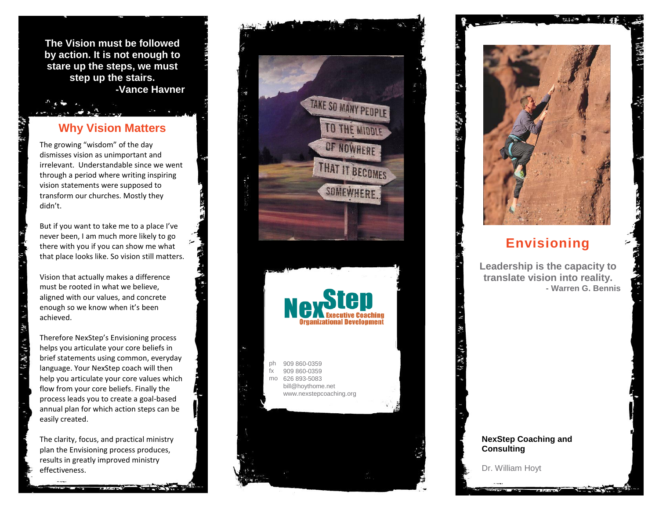**The Vision must be followed by action. It is not enough to stare up the steps, we must step up the stairs. -Vance Havner**

# **Why Vision Matters**

The growing "wisdom" of the day dismisses vision as unimportant and irrelevant. Understandable since we went through a period where writing inspiring vision statements were supposed to transform our churches. Mostly they didn't.

But if you want to take me to a place I've never been, I am much more likely to go there with you if you can show me what that place looks like. So vision still matters.

Vision that actually makes a difference must be rooted in what we believe, aligned with our values, and concrete enough so we know when it's been achieved.

Therefore NexStep's Envisioning process helps you articulate your core beliefs in brief statements using common, everyday language. Your NexStep coach will then help you articulate your core values which flow from your core beliefs. Finally the process leads you to create a goal -based annual plan for which action steps can be easily created.

The clarity, focus, and practical ministry plan the Envisioning process produces, results in greatly improved ministry effectiveness .





# **Envisioning**

**Leadership is the capacity to translate vision into reality. - Warren G. Bennis**

#### **NexStep Coaching and Consulting**

Dr. William Hoyt